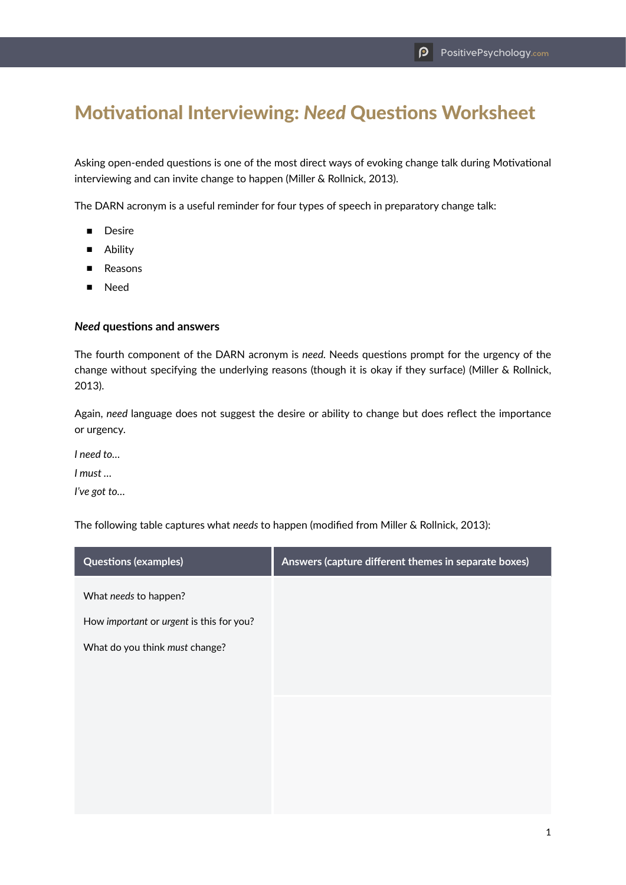## Motivational Interviewing: *Need* Questions Worksheet

Asking open-ended questions is one of the most direct ways of evoking change talk during Motivational interviewing and can invite change to happen (Miller & Rollnick, 2013).

The DARN acronym is a useful reminder for four types of speech in preparatory change talk:

- Desire
- Ability
- Reasons
- Need

## *Need* **questions and answers**

The fourth component of the DARN acronym is *need.* Needs questions prompt for the urgency of the change without specifying the underlying reasons (though it is okay if they surface) (Miller & Rollnick, 2013).

Again, *need* language does not suggest the desire or ability to change but does reflect the importance or urgency.

*I need to…*

*I must …*

*I've got to…*

The following table captures what *needs* to happen (modified from Miller & Rollnick, 2013):

| <b>Questions (examples)</b>              | Answers (capture different themes in separate boxes) |
|------------------------------------------|------------------------------------------------------|
| What needs to happen?                    |                                                      |
| How important or urgent is this for you? |                                                      |
| What do you think must change?           |                                                      |
|                                          |                                                      |
|                                          |                                                      |
|                                          |                                                      |
|                                          |                                                      |
|                                          |                                                      |
|                                          |                                                      |